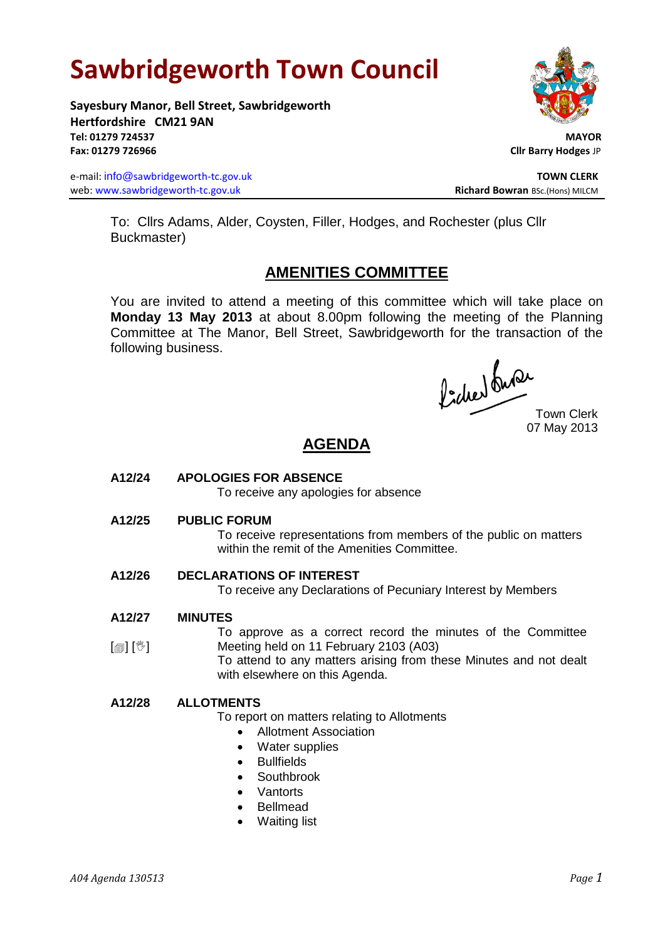# **Sawbridgeworth Town Council**

**Sayesbury Manor, Bell Street, Sawbridgeworth Hertfordshire CM21 9AN Tel: 01279 724537 MAYOR Fax: 01279 726966 Cllr Barry Hodges** JP

e-mail: info@sawbridgeworth-tc.gov.uk **TOWN CLERK TOWN CLERK** web: www.sawbridgeworth-tc.gov.uk<br> **Richard Bowran** BSc.(Hons) MILCM



To: Cllrs Adams, Alder, Coysten, Filler, Hodges, and Rochester (plus Cllr Buckmaster)

# **AMENITIES COMMITTEE**

You are invited to attend a meeting of this committee which will take place on **Monday 13 May 2013** at about 8.00pm following the meeting of the Planning Committee at The Manor, Bell Street, Sawbridgeworth for the transaction of the following business.

fideer du se

07 May 2013

# **AGENDA**

# **A12/24 APOLOGIES FOR ABSENCE**

To receive any apologies for absence

**A12/25 PUBLIC FORUM**

To receive representations from members of the public on matters within the remit of the Amenities Committee.

# **A12/26 DECLARATIONS OF INTEREST**

To receive any Declarations of Pecuniary Interest by Members

#### **A12/27 MINUTES**

[創] [V] To approve as a correct record the minutes of the Committee Meeting held on 11 February 2103 (A03)

To attend to any matters arising from these Minutes and not dealt with elsewhere on this Agenda.

# **A12/28 ALLOTMENTS**

To report on matters relating to Allotments

- Allotment Association
- Water supplies
- Bullfields
- Southbrook
- Vantorts
- Bellmead
- Waiting list